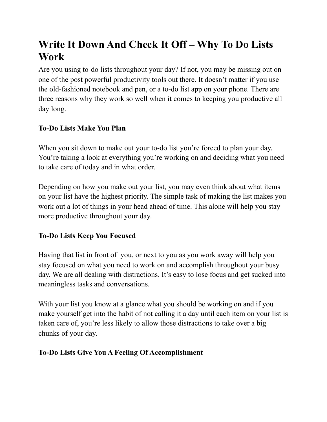## **Write It Down And Check It Off – Why To Do Lists Work**

Are you using to-do lists throughout your day? If not, you may be missing out on one of the post powerful productivity tools out there. It doesn't matter if you use the old-fashioned notebook and pen, or a to-do list app on your phone. There are three reasons why they work so well when it comes to keeping you productive all day long.

## **To-Do Lists Make You Plan**

When you sit down to make out your to-do list you're forced to plan your day. You're taking a look at everything you're working on and deciding what you need to take care of today and in what order.

Depending on how you make out your list, you may even think about what items on your list have the highest priority. The simple task of making the list makes you work out a lot of things in your head ahead of time. This alone will help you stay more productive throughout your day.

## **To-Do Lists Keep You Focused**

Having that list in front of you, or next to you as you work away will help you stay focused on what you need to work on and accomplish throughout your busy day. We are all dealing with distractions. It's easy to lose focus and get sucked into meaningless tasks and conversations.

With your list you know at a glance what you should be working on and if you make yourself get into the habit of not calling it a day until each item on your list is taken care of, you're less likely to allow those distractions to take over a big chunks of your day.

## **To-Do Lists Give You A Feeling Of Accomplishment**